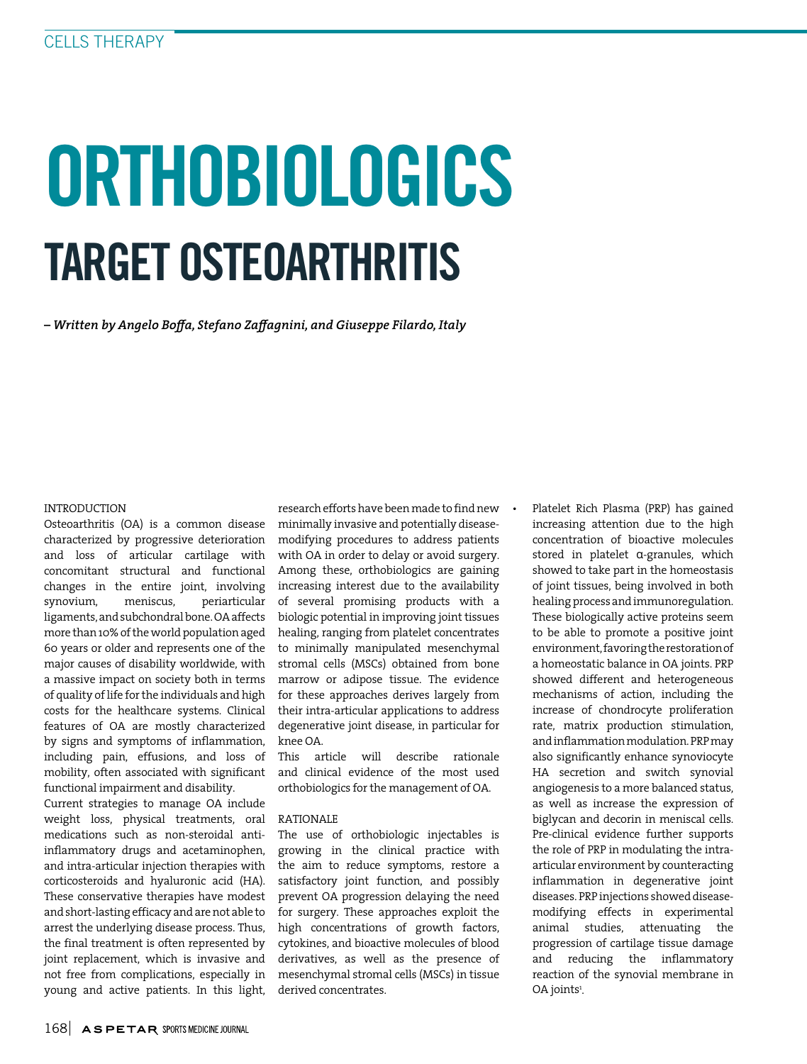# ORTHOBIOLOGICS TARGET OSTEOARTHRITIS

*– Written by Angelo Boffa, Stefano Zaffagnini, and Giuseppe Filardo, Italy*

# INTRODUCTION

Osteoarthritis (OA) is a common disease characterized by progressive deterioration and loss of articular cartilage with concomitant structural and functional changes in the entire joint, involving synovium, meniscus, periarticular ligaments, and subchondral bone. OA affects more than 10% of the world population aged 60 years or older and represents one of the major causes of disability worldwide, with a massive impact on society both in terms of quality of life for the individuals and high costs for the healthcare systems. Clinical features of OA are mostly characterized by signs and symptoms of inflammation, including pain, effusions, and loss of mobility, often associated with significant functional impairment and disability.

Current strategies to manage OA include weight loss, physical treatments, oral medications such as non-steroidal antiinflammatory drugs and acetaminophen, and intra-articular injection therapies with corticosteroids and hyaluronic acid (HA). These conservative therapies have modest and short-lasting efficacy and are not able to arrest the underlying disease process. Thus, the final treatment is often represented by joint replacement, which is invasive and not free from complications, especially in young and active patients. In this light,

research efforts have been made to find new minimally invasive and potentially diseasemodifying procedures to address patients with OA in order to delay or avoid surgery. Among these, orthobiologics are gaining increasing interest due to the availability of several promising products with a biologic potential in improving joint tissues healing, ranging from platelet concentrates to minimally manipulated mesenchymal stromal cells (MSCs) obtained from bone marrow or adipose tissue. The evidence for these approaches derives largely from their intra-articular applications to address degenerative joint disease, in particular for knee OA.

This article will describe rationale and clinical evidence of the most used orthobiologics for the management of OA.

### RATIONALE

The use of orthobiologic injectables is growing in the clinical practice with the aim to reduce symptoms, restore a satisfactory joint function, and possibly prevent OA progression delaying the need for surgery. These approaches exploit the high concentrations of growth factors, cytokines, and bioactive molecules of blood derivatives, as well as the presence of mesenchymal stromal cells (MSCs) in tissue derived concentrates.

• Platelet Rich Plasma (PRP) has gained increasing attention due to the high concentration of bioactive molecules stored in platelet α-granules, which showed to take part in the homeostasis of joint tissues, being involved in both healing process and immunoregulation. These biologically active proteins seem to be able to promote a positive joint environment, favoring the restoration of a homeostatic balance in OA joints. PRP showed different and heterogeneous mechanisms of action, including the increase of chondrocyte proliferation rate, matrix production stimulation, and inflammation modulation. PRP may also significantly enhance synoviocyte HA secretion and switch synovial angiogenesis to a more balanced status, as well as increase the expression of biglycan and decorin in meniscal cells. Pre-clinical evidence further supports the role of PRP in modulating the intraarticular environment by counteracting inflammation in degenerative joint diseases. PRP injections showed diseasemodifying effects in experimental animal studies, attenuating the progression of cartilage tissue damage and reducing the inflammatory reaction of the synovial membrane in OA joints<sup>1</sup>.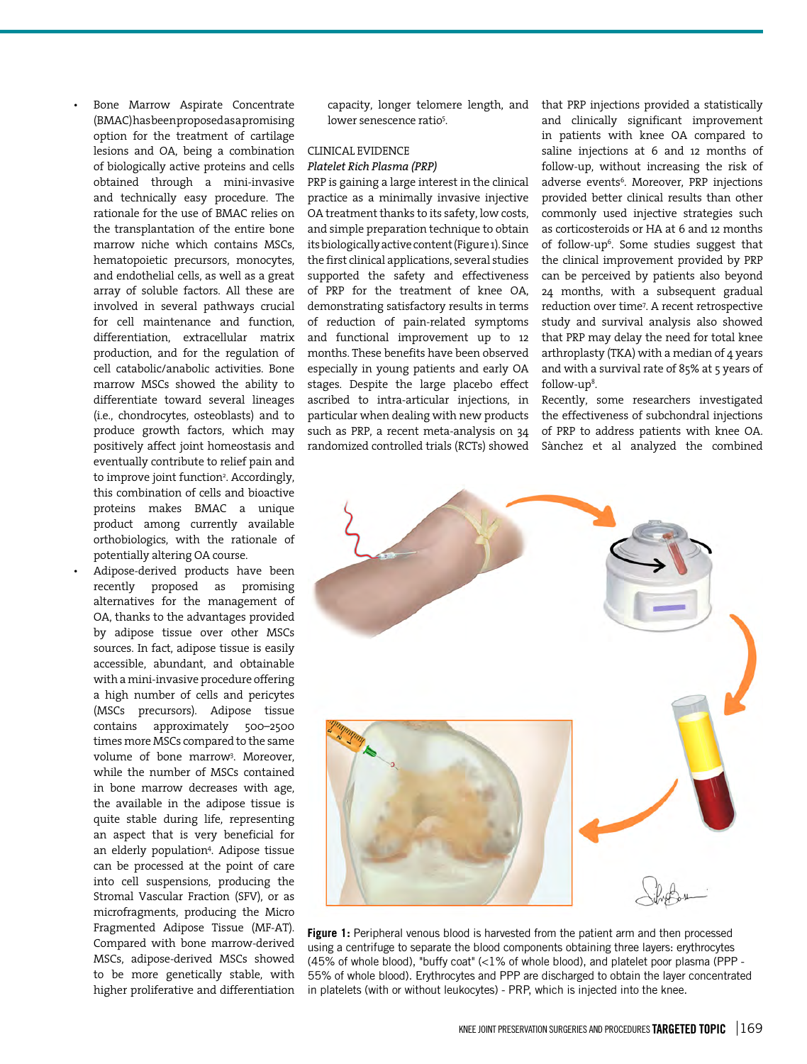• Bone Marrow Aspirate Concentrate (BMAC) has been proposed as a promising option for the treatment of cartilage lesions and OA, being a combination of biologically active proteins and cells obtained through a mini-invasive and technically easy procedure. The rationale for the use of BMAC relies on the transplantation of the entire bone marrow niche which contains MSCs, hematopoietic precursors, monocytes, and endothelial cells, as well as a great array of soluble factors. All these are involved in several pathways crucial for cell maintenance and function, differentiation, extracellular matrix production, and for the regulation of cell catabolic/anabolic activities. Bone marrow MSCs showed the ability to differentiate toward several lineages (i.e., chondrocytes, osteoblasts) and to produce growth factors, which may positively affect joint homeostasis and eventually contribute to relief pain and to improve joint function<sup>2</sup>. Accordingly, this combination of cells and bioactive proteins makes BMAC a unique product among currently available orthobiologics, with the rationale of potentially altering OA course.

• Adipose-derived products have been recently proposed as promising alternatives for the management of OA, thanks to the advantages provided by adipose tissue over other MSCs sources. In fact, adipose tissue is easily accessible, abundant, and obtainable with a mini-invasive procedure offering a high number of cells and pericytes (MSCs precursors). Adipose tissue contains approximately 500–2500 times more MSCs compared to the same volume of bone marrow3 . Moreover, while the number of MSCs contained in bone marrow decreases with age, the available in the adipose tissue is quite stable during life, representing an aspect that is very beneficial for an elderly population4 . Adipose tissue can be processed at the point of care into cell suspensions, producing the Stromal Vascular Fraction (SFV), or as microfragments, producing the Micro Fragmented Adipose Tissue (MF-AT). Compared with bone marrow-derived MSCs, adipose-derived MSCs showed to be more genetically stable, with higher proliferative and differentiation

capacity, longer telomere length, and lower senescence ratio<sup>5</sup>.

# CLINICAL EVIDENCE *Platelet Rich Plasma (PRP)*

PRP is gaining a large interest in the clinical practice as a minimally invasive injective OA treatment thanks to its safety, low costs, and simple preparation technique to obtain its biologically active content (Figure 1). Since the first clinical applications, several studies supported the safety and effectiveness of PRP for the treatment of knee OA, demonstrating satisfactory results in terms of reduction of pain-related symptoms and functional improvement up to 12 months. These benefits have been observed especially in young patients and early OA stages. Despite the large placebo effect ascribed to intra-articular injections, in particular when dealing with new products such as PRP, a recent meta-analysis on 34 randomized controlled trials (RCTs) showed that PRP injections provided a statistically and clinically significant improvement in patients with knee OA compared to saline injections at 6 and 12 months of follow-up, without increasing the risk of adverse events<sup>6</sup>. Moreover, PRP injections provided better clinical results than other commonly used injective strategies such as corticosteroids or HA at 6 and 12 months of follow-up6 . Some studies suggest that the clinical improvement provided by PRP can be perceived by patients also beyond 24 months, with a subsequent gradual reduction over time7 . A recent retrospective study and survival analysis also showed that PRP may delay the need for total knee arthroplasty (TKA) with a median of 4 years and with a survival rate of 85% at 5 years of follow-up<sup>8</sup>.

Recently, some researchers investigated the effectiveness of subchondral injections of PRP to address patients with knee OA. Sànchez et al analyzed the combined



**Figure 1:** Peripheral venous blood is harvested from the patient arm and then processed using a centrifuge to separate the blood components obtaining three layers: erythrocytes (45% of whole blood), "buffy coat"  $\left\langle \langle 1\% \rangle \right\rangle$  of whole blood), and platelet poor plasma (PPP -55% of whole blood). Erythrocytes and PPP are discharged to obtain the layer concentrated in platelets (with or without leukocytes) - PRP, which is injected into the knee.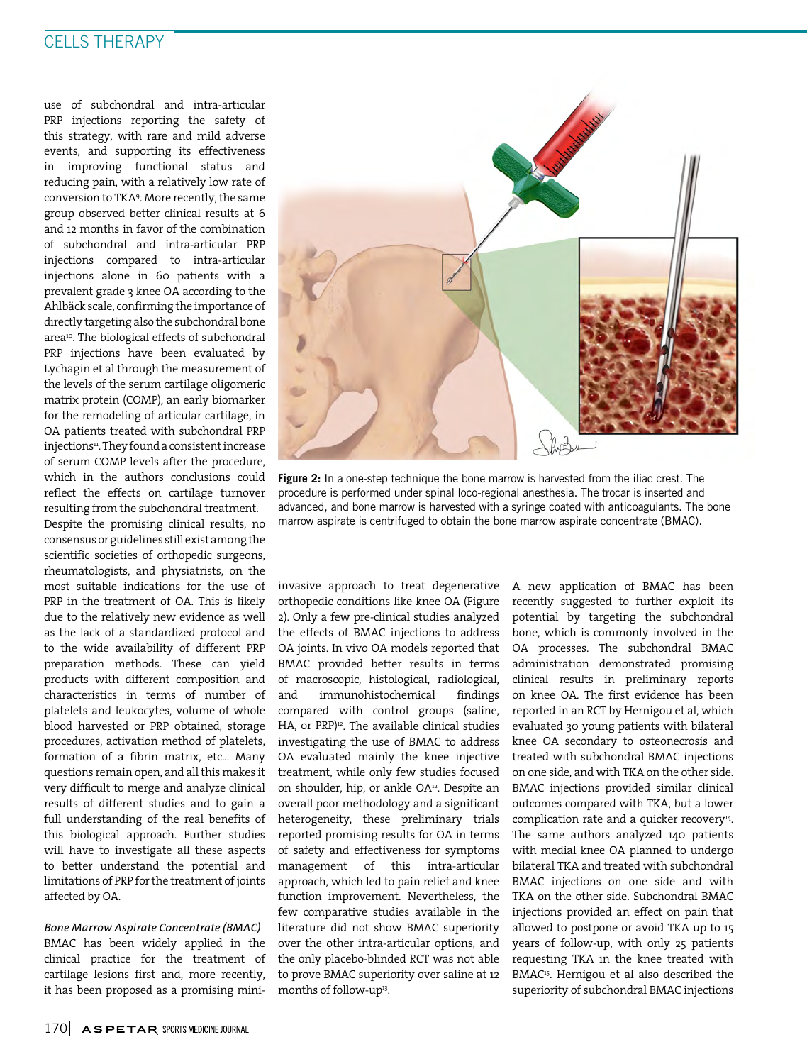use of subchondral and intra-articular PRP injections reporting the safety of this strategy, with rare and mild adverse events, and supporting its effectiveness in improving functional status and reducing pain, with a relatively low rate of conversion to TKA9 . More recently, the same group observed better clinical results at 6 and 12 months in favor of the combination of subchondral and intra-articular PRP injections compared to intra-articular injections alone in 60 patients with a prevalent grade 3 knee OA according to the Ahlbäck scale, confirming the importance of directly targeting also the subchondral bone area<sup>10</sup>. The biological effects of subchondral PRP injections have been evaluated by Lychagin et al through the measurement of the levels of the serum cartilage oligomeric matrix protein (COMP), an early biomarker for the remodeling of articular cartilage, in OA patients treated with subchondral PRP injections<sup>11</sup>. They found a consistent increase of serum COMP levels after the procedure, which in the authors conclusions could reflect the effects on cartilage turnover resulting from the subchondral treatment. Despite the promising clinical results, no consensus or guidelines still exist among the scientific societies of orthopedic surgeons, rheumatologists, and physiatrists, on the most suitable indications for the use of PRP in the treatment of OA. This is likely due to the relatively new evidence as well as the lack of a standardized protocol and to the wide availability of different PRP preparation methods. These can yield products with different composition and characteristics in terms of number of platelets and leukocytes, volume of whole blood harvested or PRP obtained, storage procedures, activation method of platelets, formation of a fibrin matrix, etc... Many questions remain open, and all this makes it very difficult to merge and analyze clinical results of different studies and to gain a full understanding of the real benefits of this biological approach. Further studies will have to investigate all these aspects to better understand the potential and limitations of PRP for the treatment of joints affected by OA.

*Bone Marrow Aspirate Concentrate (BMAC)* BMAC has been widely applied in the clinical practice for the treatment of cartilage lesions first and, more recently, it has been proposed as a promising mini-



**Figure 2:** In a one-step technique the bone marrow is harvested from the iliac crest. The procedure is performed under spinal loco-regional anesthesia. The trocar is inserted and advanced, and bone marrow is harvested with a syringe coated with anticoagulants. The bone marrow aspirate is centrifuged to obtain the bone marrow aspirate concentrate (BMAC).

invasive approach to treat degenerative orthopedic conditions like knee OA (Figure 2). Only a few pre-clinical studies analyzed the effects of BMAC injections to address OA joints. In vivo OA models reported that BMAC provided better results in terms of macroscopic, histological, radiological, and immunohistochemical findings compared with control groups (saline, HA, or PRP)<sup>12</sup>. The available clinical studies investigating the use of BMAC to address OA evaluated mainly the knee injective treatment, while only few studies focused on shoulder, hip, or ankle OA<sup>12</sup>. Despite an overall poor methodology and a significant heterogeneity, these preliminary trials reported promising results for OA in terms of safety and effectiveness for symptoms management of this intra-articular approach, which led to pain relief and knee function improvement. Nevertheless, the few comparative studies available in the literature did not show BMAC superiority over the other intra-articular options, and the only placebo-blinded RCT was not able to prove BMAC superiority over saline at 12 months of follow-up<sup>13</sup>.

A new application of BMAC has been recently suggested to further exploit its potential by targeting the subchondral bone, which is commonly involved in the OA processes. The subchondral BMAC administration demonstrated promising clinical results in preliminary reports on knee OA. The first evidence has been reported in an RCT by Hernigou et al, which evaluated 30 young patients with bilateral knee OA secondary to osteonecrosis and treated with subchondral BMAC injections on one side, and with TKA on the other side. BMAC injections provided similar clinical outcomes compared with TKA, but a lower complication rate and a quicker recovery<sup>14</sup>. The same authors analyzed 140 patients with medial knee OA planned to undergo bilateral TKA and treated with subchondral BMAC injections on one side and with TKA on the other side. Subchondral BMAC injections provided an effect on pain that allowed to postpone or avoid TKA up to 15 years of follow-up, with only 25 patients requesting TKA in the knee treated with BMAC15. Hernigou et al also described the superiority of subchondral BMAC injections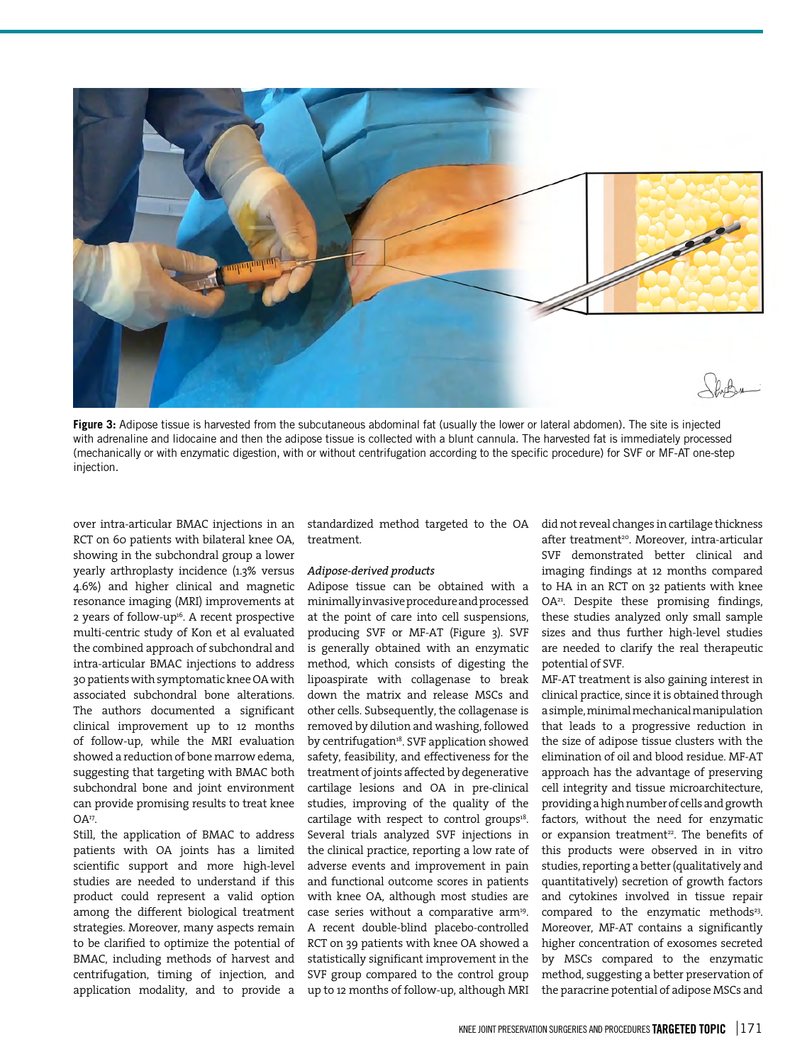

**Figure 3:** Adipose tissue is harvested from the subcutaneous abdominal fat (usually the lower or lateral abdomen). The site is injected with adrenaline and lidocaine and then the adipose tissue is collected with a blunt cannula. The harvested fat is immediately processed (mechanically or with enzymatic digestion, with or without centrifugation according to the specific procedure) for SVF or MF-AT one-step injection.

over intra-articular BMAC injections in an RCT on 60 patients with bilateral knee OA, showing in the subchondral group a lower yearly arthroplasty incidence (1.3% versus 4.6%) and higher clinical and magnetic resonance imaging (MRI) improvements at 2 years of follow-up<sup>16</sup>. A recent prospective multi-centric study of Kon et al evaluated the combined approach of subchondral and intra-articular BMAC injections to address 30 patients with symptomatic knee OA with associated subchondral bone alterations. The authors documented a significant clinical improvement up to 12 months of follow-up, while the MRI evaluation showed a reduction of bone marrow edema, suggesting that targeting with BMAC both subchondral bone and joint environment can provide promising results to treat knee  $OA<sup>17</sup>$ .

Still, the application of BMAC to address patients with OA joints has a limited scientific support and more high-level studies are needed to understand if this product could represent a valid option among the different biological treatment strategies. Moreover, many aspects remain to be clarified to optimize the potential of BMAC, including methods of harvest and centrifugation, timing of injection, and application modality, and to provide a

standardized method targeted to the OA treatment.

#### *Adipose-derived products*

Adipose tissue can be obtained with a minimally invasive procedure and processed at the point of care into cell suspensions, producing SVF or MF-AT (Figure 3). SVF is generally obtained with an enzymatic method, which consists of digesting the lipoaspirate with collagenase to break down the matrix and release MSCs and other cells. Subsequently, the collagenase is removed by dilution and washing, followed by centrifugation<sup>18</sup>. SVF application showed safety, feasibility, and effectiveness for the treatment of joints affected by degenerative cartilage lesions and OA in pre-clinical studies, improving of the quality of the cartilage with respect to control groups<sup>18</sup>. Several trials analyzed SVF injections in the clinical practice, reporting a low rate of adverse events and improvement in pain and functional outcome scores in patients with knee OA, although most studies are case series without a comparative arm<sup>19</sup>. A recent double-blind placebo-controlled RCT on 39 patients with knee OA showed a statistically significant improvement in the SVF group compared to the control group up to 12 months of follow-up, although MRI did not reveal changes in cartilage thickness after treatment<sup>20</sup>. Moreover, intra-articular SVF demonstrated better clinical and imaging findings at 12 months compared to HA in an RCT on 32 patients with knee OA21. Despite these promising findings, these studies analyzed only small sample sizes and thus further high-level studies are needed to clarify the real therapeutic potential of SVF.

MF-AT treatment is also gaining interest in clinical practice, since it is obtained through a simple, minimal mechanical manipulation that leads to a progressive reduction in the size of adipose tissue clusters with the elimination of oil and blood residue. MF-AT approach has the advantage of preserving cell integrity and tissue microarchitecture, providing a high number of cells and growth factors, without the need for enzymatic or expansion treatment<sup>22</sup>. The benefits of this products were observed in in vitro studies, reporting a better (qualitatively and quantitatively) secretion of growth factors and cytokines involved in tissue repair compared to the enzymatic methods<sup>23</sup>. Moreover, MF-AT contains a significantly higher concentration of exosomes secreted by MSCs compared to the enzymatic method, suggesting a better preservation of the paracrine potential of adipose MSCs and